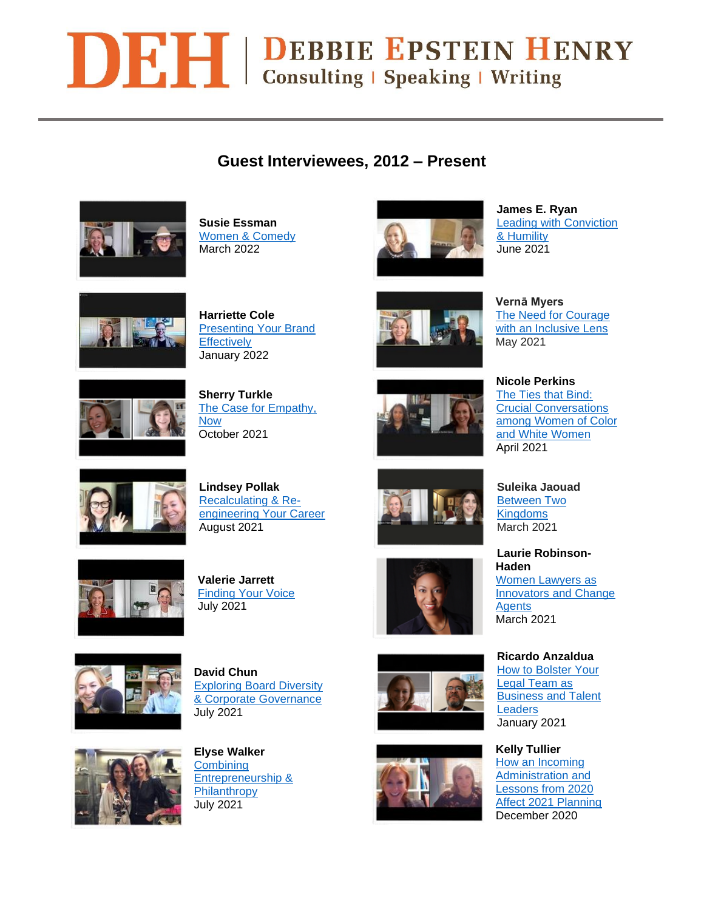**DE HERRIE EPSTEIN HENRY**<br>Consulting | Speaking | Writing

## **Guest Interviewees, 2012 – Present**



**Susie Essman** [Women & Comedy](https://youtu.be/mr__fm-3MIE) March 2022



**Harriette Cole** [Presenting Your Brand](https://www.youtube.com/watch?v=lGJcT-lwC2w)  **[Effectively](https://www.youtube.com/watch?v=lGJcT-lwC2w)** January 2022



**Sherry Turkle** [The Case for Empathy,](https://www.youtube.com/watch?v=gU5dIXnyy4s)  [Now](https://www.youtube.com/watch?v=gU5dIXnyy4s) October 2021







**Nicole Perkins** [The Ties that Bind:](https://www.youtube.com/watch?v=01zyr3sGNks)  [Crucial Conversations](https://www.youtube.com/watch?v=01zyr3sGNks)  [among Women of Color](https://www.youtube.com/watch?v=01zyr3sGNks)  [and White Women](https://www.youtube.com/watch?v=01zyr3sGNks) April 2021

[The Need for Courage](https://www.youtube.com/watch?v=dtFeZtojjXY)  [with an Inclusive Lens](https://www.youtube.com/watch?v=dtFeZtojjXY)

**James E. Ryan**

[& Humility](https://www.debbieepsteinhenry.com/event/inspiration-loves-company-podcast-episode-12-debbie-epstein-henry-interview-of-james-ryan/?event_date=2021-06-09) June 2021

**Vernā Myers**

May 2021

[Leading with Conviction](https://www.debbieepsteinhenry.com/event/inspiration-loves-company-podcast-episode-12-debbie-epstein-henry-interview-of-james-ryan/?event_date=2021-06-09) 

**Suleika Jaouad** [Between Two](https://www.youtube.com/watch?v=ZKXSLauhSSs)  **[Kingdoms](https://www.youtube.com/watch?v=ZKXSLauhSSs)** March 2021

**Laurie Robinson-Haden**  [Women Lawyers as](https://ccwomenofcolor.org/founder-ceo/)  [Innovators and Change](https://ccwomenofcolor.org/founder-ceo/)  **[Agents](https://ccwomenofcolor.org/founder-ceo/)** March 2021

**Ricardo Anzaldua** [How to Bolster Your](https://www.youtube.com/watch?v=VsyswZrvLT0)  [Legal Team as](https://www.youtube.com/watch?v=VsyswZrvLT0)  **Business and Talent [Leaders](https://www.youtube.com/watch?v=VsyswZrvLT0)** January 2021

**Kelly Tullier** [How an Incoming](https://www.youtube.com/watch?v=8hridvV83qI)  [Administration and](https://www.youtube.com/watch?v=8hridvV83qI)  [Lessons from 2020](https://www.youtube.com/watch?v=8hridvV83qI)  [Affect 2021 Planning](https://www.youtube.com/watch?v=8hridvV83qI) December 2020



**Lindsey Pollak** [Recalculating & Re](https://www.debbieepsteinhenry.com/event/inspiration-loves-company-podcast-episode-17-debbie-epstein-henry-interview-of-lindsey-pollak-copy-2/?event_date=2021-08-04)[engineering Your Career](https://www.debbieepsteinhenry.com/event/inspiration-loves-company-podcast-episode-17-debbie-epstein-henry-interview-of-lindsey-pollak-copy-2/?event_date=2021-08-04) August 2021



**Valerie Jarrett** [Finding Your Voice](https://youtu.be/B9nT2r3gOB8) July 2021



**David Chun** [Exploring Board Diversity](https://www.debbieepsteinhenry.com/event/inspiration-loves-company-podcast-episode-15-debbie-epstein-henry-interview-of-david-chun-copy/?event_date=2021-07-21)  [& Corporate Governance](https://www.debbieepsteinhenry.com/event/inspiration-loves-company-podcast-episode-15-debbie-epstein-henry-interview-of-david-chun-copy/?event_date=2021-07-21) July 2021



**Elyse Walker Combining** [Entrepreneurship &](https://www.debbieepsteinhenry.com/event/inspiration-loves-company-podcast-episode-14-debbie-epstein-henry-interview-of-verna-myers-copy/?event_date=2021-07-07)  **[Philanthropy](https://www.debbieepsteinhenry.com/event/inspiration-loves-company-podcast-episode-14-debbie-epstein-henry-interview-of-verna-myers-copy/?event_date=2021-07-07)** July 2021



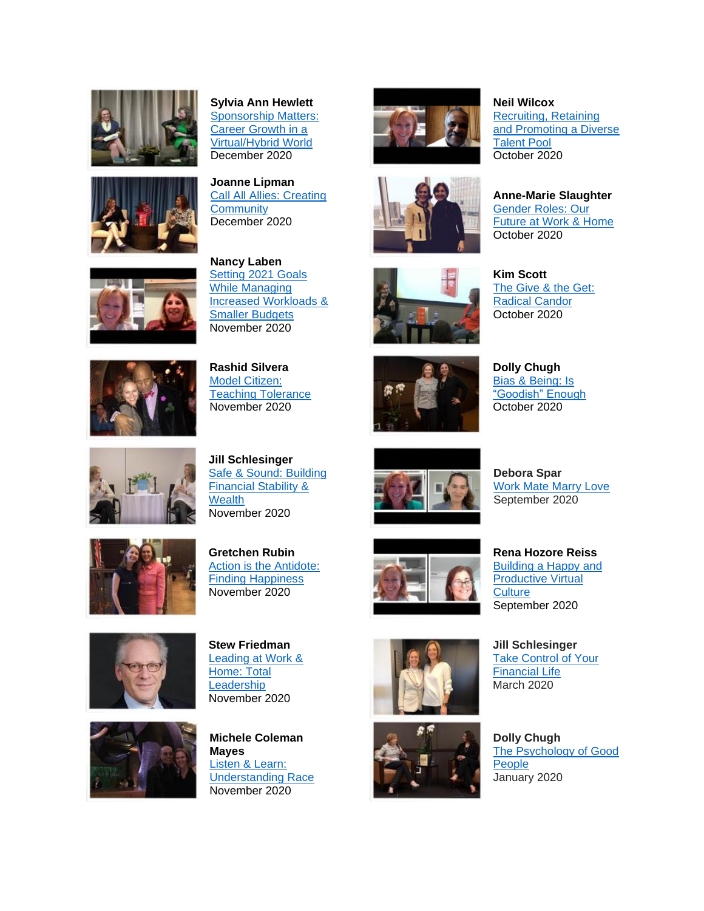











**Sylvia Ann Hewlett** [Sponsorship Matters:](https://www.buzzsprout.com/1140782/6801709-sponsorship-matters-career-growth-in-a-virtual-hybrid-world-with-sylvia-ann-hewlett)  [Career Growth in a](https://www.buzzsprout.com/1140782/6801709-sponsorship-matters-career-growth-in-a-virtual-hybrid-world-with-sylvia-ann-hewlett)  [Virtual/Hybrid World](https://www.buzzsprout.com/1140782/6801709-sponsorship-matters-career-growth-in-a-virtual-hybrid-world-with-sylvia-ann-hewlett) December 2020

**Joanne Lipman** [Call All Allies: Creating](https://www.buzzsprout.com/1140782/6689270-calling-all-allies-creating-community-with-joanne-lipman) 

**[Community](https://www.buzzsprout.com/1140782/6689270-calling-all-allies-creating-community-with-joanne-lipman)** December 2020

**Jill Schlesinger** [Safe & Sound: Building](https://www.buzzsprout.com/1140782/6510475-safe-sound-building-financial-stability-wealth-with-jill-schlesinger)  [Financial Stability &](https://www.buzzsprout.com/1140782/6510475-safe-sound-building-financial-stability-wealth-with-jill-schlesinger)  **[Wealth](https://www.buzzsprout.com/1140782/6510475-safe-sound-building-financial-stability-wealth-with-jill-schlesinger)** November 2020



**Gretchen Rubin** [Action is the Antidote:](https://www.buzzsprout.com/1140782/6359434-action-is-the-antidote-finding-happiness-with-gretchen-rubin)  [Finding Happiness](https://www.buzzsprout.com/1140782/6359434-action-is-the-antidote-finding-happiness-with-gretchen-rubin) November 2020







**Michele Coleman Mayes** [Listen & Learn:](https://www.buzzsprout.com/1140782/6182437-listen-learn-understanding-race-with-michele-coleman-mayes)  [Understanding Race](https://www.buzzsprout.com/1140782/6182437-listen-learn-understanding-race-with-michele-coleman-mayes) November 2020















**Jill Schlesinger** [Take Control of Your](https://www.youtube.com/watch?v=GDvYg-Ii63M&t=43s)  [Financial Life](https://www.youtube.com/watch?v=GDvYg-Ii63M&t=43s) March 2020

**Dolly Chugh** [The Psychology of Good](https://www.youtube.com/watch?v=-z1QPY6bzyw)  [People](https://www.youtube.com/watch?v=-z1QPY6bzyw) January 2020



**Neil Wilcox** [Recruiting, Retaining](https://www.youtube.com/watch?v=Tf8Ygvivsf8)  [and Promoting a Diverse](https://www.youtube.com/watch?v=Tf8Ygvivsf8)  [Talent Pool](https://www.youtube.com/watch?v=Tf8Ygvivsf8) October 2020

**Anne-Marie Slaughter** [Gender Roles: Our](https://www.buzzsprout.com/1140782/6056473-gender-roles-our-future-at-work-home-with-anne-marie-slaughter)  [Future at Work & Home](https://www.buzzsprout.com/1140782/6056473-gender-roles-our-future-at-work-home-with-anne-marie-slaughter) October 2020

**Kim Scott**  [The Give & the Get:](https://www.buzzsprout.com/1140782/5918032-the-give-the-get-radical-candor-with-kim-scott)  [Radical Candor](https://www.buzzsprout.com/1140782/5918032-the-give-the-get-radical-candor-with-kim-scott) October 2020

**Dolly Chugh** [Bias & Being: Is](https://www.buzzsprout.com/1140782/5863645-bias-being-is-goodish-enough-with-dolly-chugh)  ["Goodish" Enough](https://www.buzzsprout.com/1140782/5863645-bias-being-is-goodish-enough-with-dolly-chugh) October 2020